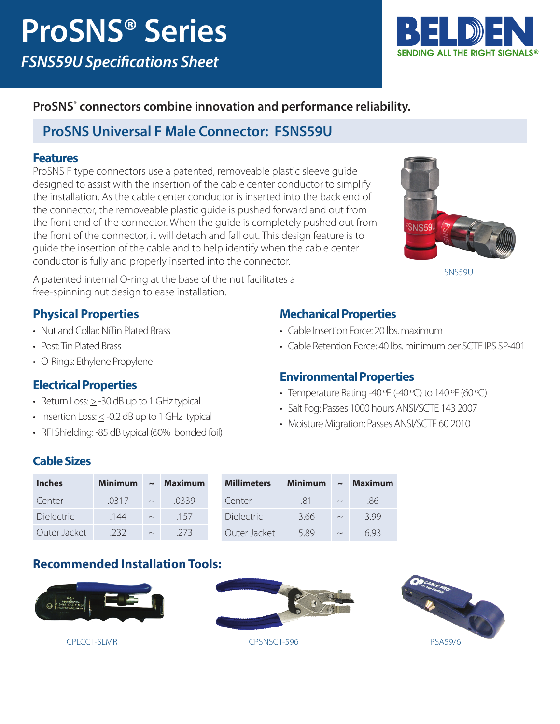

### **ProSNS® connectors combine innovation and performance reliability.**

## **ProSNS Universal F Male Connector: FSNS59U**

#### **Features**

ProSNS F type connectors use a patented, removeable plastic sleeve guide designed to assist with the insertion of the cable center conductor to simplify the installation. As the cable center conductor is inserted into the back end of the connector, the removeable plastic guide is pushed forward and out from the front end of the connector. When the guide is completely pushed out from the front of the connector, it will detach and fall out. This design feature is to guide the insertion of the cable and to help identify when the cable center conductor is fully and properly inserted into the connector.



FSNS59U

A patented internal O-ring at the base of the nut facilitates a free-spinning nut design to ease installation.

#### **Physical Properties**

- Nut and Collar: NiTin Plated Brass
- Post: Tin Plated Brass
- O-Rings: Ethylene Propylene

#### **Electrical Properties**

- Return Loss:  $\geq$  -30 dB up to 1 GHz typical
- $\bullet$  Insertion Loss:  $\leq$  -0.2 dB up to 1 GHz typical
- RFI Shielding: -85 dB typical (60% bonded foil)

#### **Mechanical Properties**

- Cable Insertion Force: 20 lbs. maximum
- Cable Retention Force: 40 lbs. minimum per SCTE IPS SP-401

#### **Environmental Properties**

- Temperature Rating -40  $\mathsf{P}$  (-40  $\mathsf{P}$ ) to 140  $\mathsf{P}$  (60  $\mathsf{P}$ C)
- Salt Fog: Passes 1000 hours ANSI/SCTE 143 2007
- Moisture Migration: Passes ANSI/SCTE 60 2010

#### **Cable Sizes**

| <b>Inches</b>     | <b>Minimum</b> | $\sim$ | <b>Maximum</b> |
|-------------------|----------------|--------|----------------|
| Center            | .0317          | $\sim$ | 0339           |
| <b>Dielectric</b> | .144           | $\sim$ | 157            |
| Outer Jacket      | 232            |        | -273           |

| <b>Millimeters</b> | Minimum | $\sim$ | <b>Maximum</b> |
|--------------------|---------|--------|----------------|
| Center             | -81     |        | -86            |
| <b>Dielectric</b>  | 3.66    | $\sim$ | 399            |
| Outer Jacket       | 589     |        | 693            |

#### **Recommended Installation Tools:**